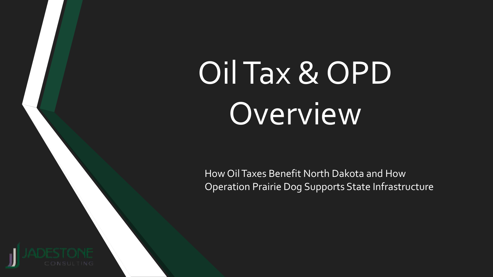# Oil Tax & OPD Overview

How Oil Taxes Benefit North Dakota and How Operation Prairie Dog Supports State Infrastructure

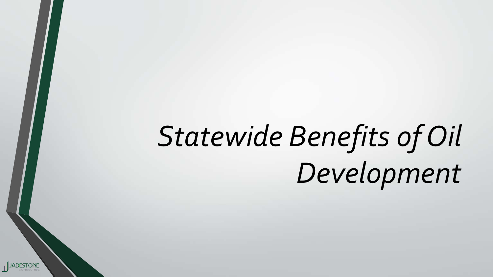# *Statewide Benefits of Oil Development*

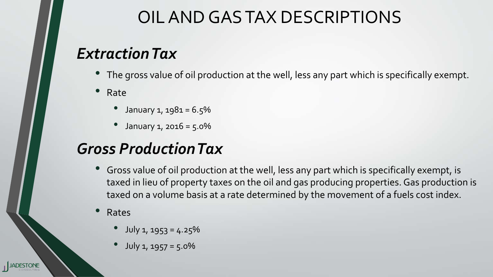### OIL AND GAS TAX DESCRIPTIONS

### *Extraction Tax*

- The gross value of oil production at the well, less any part which is specifically exempt.
- Rate
	- January  $1, 1981 = 6.5%$
	- January  $1, 2016 = 5.0\%$

### *Gross Production Tax*

- Gross value of oil production at the well, less any part which is specifically exempt, is taxed in lieu of property taxes on the oil and gas producing properties. Gas production is taxed on a volume basis at a rate determined by the movement of a fuels cost index.
- Rates
	- $July 1, 1953 = 4.25%$
	- July 1, 1957 = 5.0%

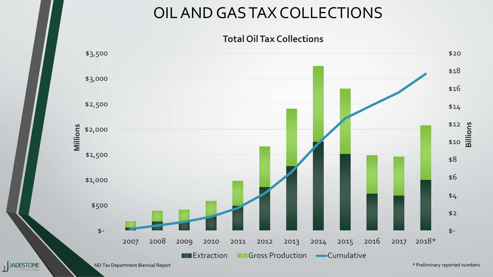#### OIL AND GAS TAX COLLECTIONS

#### **Total Oil Tax Collections**

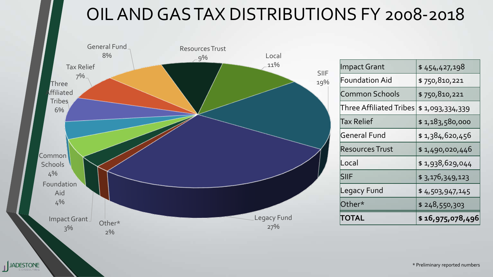### OIL AND GAS TAX DISTRIBUTIONS FY 2008-2018



| Impact Grant            | \$454,427,198    |  |
|-------------------------|------------------|--|
| <b>Foundation Aid</b>   | \$750,810,221    |  |
| <b>Common Schools</b>   | \$750,810,221    |  |
| Three Affiliated Tribes | \$1,093,334,339  |  |
| Tax Relief              | \$1,183,580,000  |  |
| General Fund            | \$1,384,620,456  |  |
| Resources Trust         | \$1,490,020,446  |  |
| Local                   | \$1,938,629,044  |  |
| <b>SIIF</b>             | \$3,176,349,123  |  |
| <b>Legacy Fund</b>      | \$4,503,947,145  |  |
| Other*                  | \$248,550,303    |  |
| TOTAL                   | \$16,975,078,496 |  |

\* Preliminary reported numbers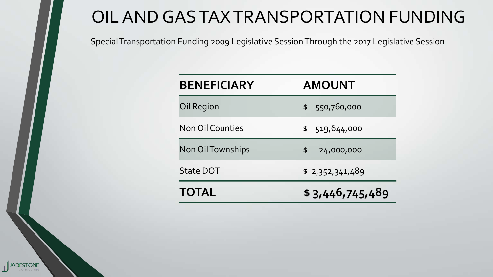### OIL AND GAS TAX TRANSPORTATION FUNDING

Special Transportation Funding 2009 Legislative Session Through the 2017 Legislative Session

| <b>BENEFICIARY</b> | <b>AMOUNT</b>    |
|--------------------|------------------|
| Oil Region         | \$ 550,760,000   |
| Non Oil Counties   | \$519,644,000    |
| Non Oil Townships  | 24,000,000<br>\$ |
| <b>State DOT</b>   | \$2,352,341,489  |
| TOTAL              | \$3,446,745,489  |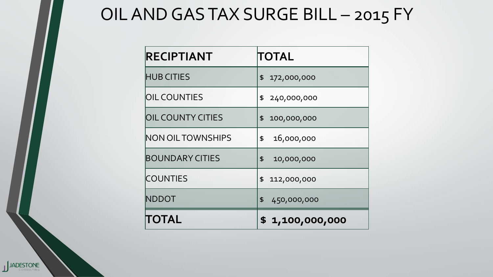### OIL AND GAS TAX SURGE BILL - 2015 FY

| RECIPTIANT               | TOTAL             |  |
|--------------------------|-------------------|--|
| <b>HUB CITIES</b>        | \$172,000,000     |  |
| <b>OIL COUNTIES</b>      | \$ 240,000,000    |  |
| <b>OIL COUNTY CITIES</b> | 100,000,000<br>\$ |  |
| <b>NON OIL TOWNSHIPS</b> | 16,000,000<br>\$  |  |
| <b>BOUNDARY CITIES</b>   | 10,000,000<br>\$  |  |
| <b>COUNTIES</b>          | \$112,000,000     |  |
| NDDOT                    | \$<br>450,000,000 |  |
| TOTAL                    | \$1,100,000,000   |  |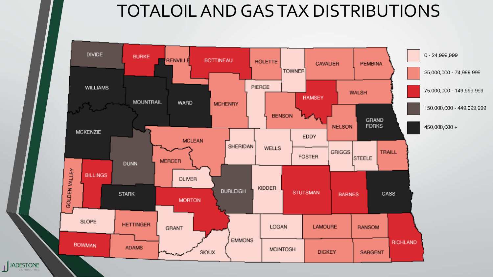### TOTALOIL AND GAS TAX DISTRIBUTIONS

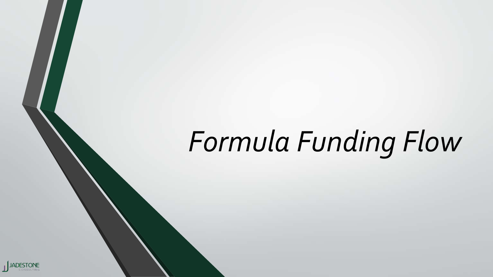# *Formula Funding Flow*

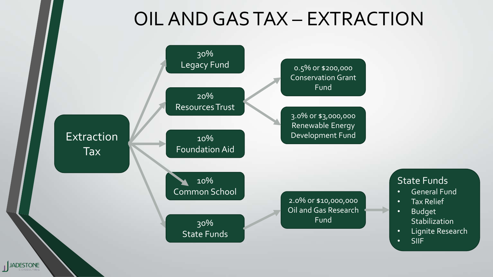## OIL AND GAS TAX – EXTRACTION

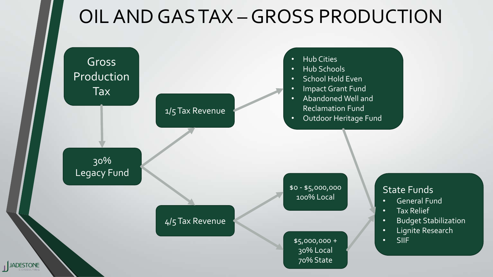## OIL AND GAS TAX –GROSS PRODUCTION

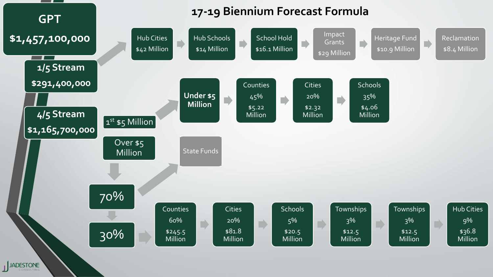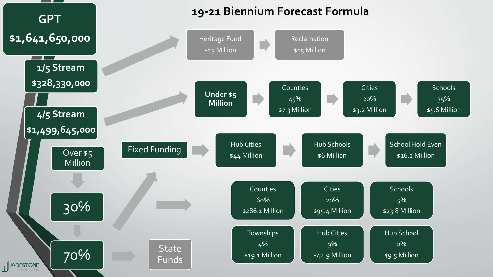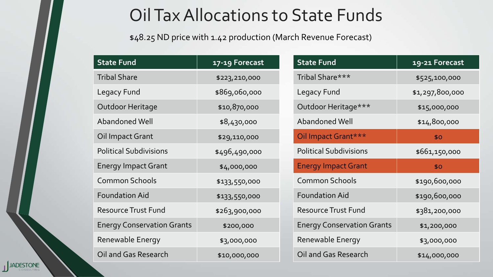### Oil Tax Allocations to State Funds

\$48.25 ND price with 1.42 production (March Revenue Forecast)

| <b>State Fund</b>                 | 17-19 Forecast | <b>State Fund</b>                 | 19-21 Forecast  |  |
|-----------------------------------|----------------|-----------------------------------|-----------------|--|
| <b>Tribal Share</b>               | \$223,210,000  | Tribal Share***                   | \$525,100,000   |  |
| Legacy Fund                       | \$869,060,000  | Legacy Fund                       | \$1,297,800,000 |  |
| Outdoor Heritage                  | \$10,870,000   | Outdoor Heritage***               | \$15,000,000    |  |
| Abandoned Well                    | \$8,430,000    | Abandoned Well                    | \$14,800,000    |  |
| Oil Impact Grant                  | \$29,110,000   | Oil Impact Grant***               | \$0             |  |
| <b>Political Subdivisions</b>     | \$496,490,000  | <b>Political Subdivisions</b>     | \$661,150,000   |  |
| <b>Energy Impact Grant</b>        | \$4,000,000    | <b>Energy Impact Grant</b>        | \$0             |  |
| <b>Common Schools</b>             | \$133,550,000  | <b>Common Schools</b>             | \$190,600,000   |  |
| <b>Foundation Aid</b>             | \$133,550,000  | <b>Foundation Aid</b>             | \$190,600,000   |  |
| <b>Resource Trust Fund</b>        | \$263,900,000  | <b>Resource Trust Fund</b>        | \$381,200,000   |  |
| <b>Energy Conservation Grants</b> | \$200,000      | <b>Energy Conservation Grants</b> | \$1,200,000     |  |
| Renewable Energy                  | \$3,000,000    | Renewable Energy                  | \$3,000,000     |  |
| Oil and Gas Research              | \$10,000,000   | Oil and Gas Research              | \$14,000,000    |  |

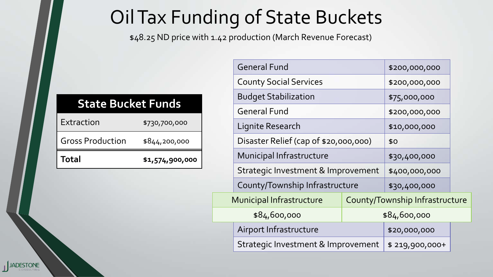# Oil Tax Funding of State Buckets

\$48.25 ND price with 1.42 production (March Revenue Forecast)

#### **State Bucket Funds**

| <b>Total</b>            | \$1,574,900,000 |
|-------------------------|-----------------|
| <b>Gross Production</b> | \$844,200,000   |
| Extraction              | \$730,700,000   |

|                             | <b>General Fund</b>                                               | \$200,000,000                  |                |  |
|-----------------------------|-------------------------------------------------------------------|--------------------------------|----------------|--|
|                             | <b>County Social Services</b>                                     | \$200,000,000                  |                |  |
| <b>Budget Stabilization</b> |                                                                   |                                | \$75,000,000   |  |
|                             | <b>General Fund</b>                                               | \$200,000,000                  |                |  |
| Lignite Research            |                                                                   | \$10,000,000                   |                |  |
|                             | Disaster Relief (cap of \$20,000,000)<br>Municipal Infrastructure |                                | \$0            |  |
|                             |                                                                   |                                | \$30,400,000   |  |
|                             | Strategic Investment & Improvement                                |                                | \$400,000,000  |  |
|                             | County/Township Infrastructure                                    |                                | \$30,400,000   |  |
|                             | <b>Municipal Infrastructure</b>                                   | County/Township Infrastructure |                |  |
|                             | \$84,600,000                                                      |                                | \$84,600,000   |  |
|                             | Airport Infrastructure                                            |                                | \$20,000,000   |  |
|                             | Strategic Investment & Improvement                                |                                | \$219,900,000+ |  |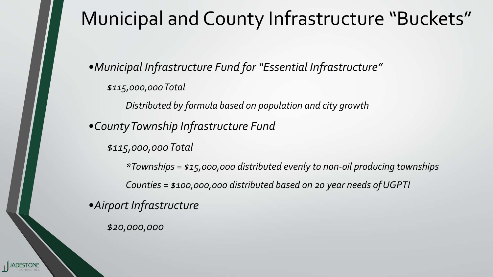## Municipal and County Infrastructure "Buckets"

•*Municipal Infrastructure Fund for "Essential Infrastructure" \$115,000,000Total*

*Distributed by formula based on population and city growth*

•*CountyTownship Infrastructure Fund*

*\$115,000,000Total*

*\*Townships = \$15,000,000 distributed evenly to non-oil producing townships Counties = \$100,000,000 distributed based on 20 year needs ofUGPTI*

•*Airport Infrastructure*

*\$20,000,000*

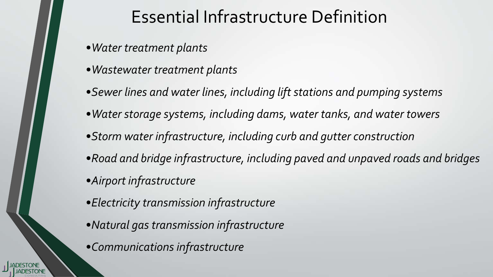### Essential Infrastructure Definition

- •*Water treatment plants*
- •*Wastewater treatment plants*
- •*Sewer lines and water lines, including liftstations and pumping systems*
- •*Water storage systems, including dams, water tanks, and water towers*
- •*Storm water infrastructure, including curb and gutter construction*
- •*Road and bridge infrastructure, including paved and unpaved roads and bridges*
- •*Airport infrastructure*
- •*Electricity transmission infrastructure*
- •*Natural gas transmission infrastructure*
- •*Communications infrastructure*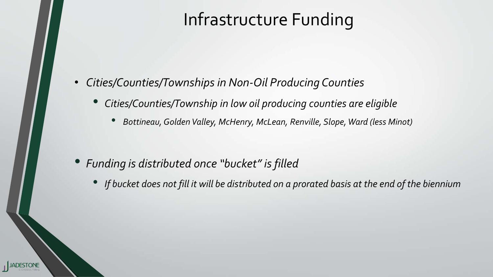### Infrastructure Funding

- *Cities/Counties/Townships in Non-Oil Producing Counties*
	- *Cities/Counties/Township in low oil producing counties are eligible*
		- *Bottineau,Golden Valley, McHenry, McLean, Renville, Slope, Ward (less Minot)*

- *Funding is distributed once "bucket" isfilled*
	- If bucket does not fill it will be distributed on a prorated basis at the end of the biennium